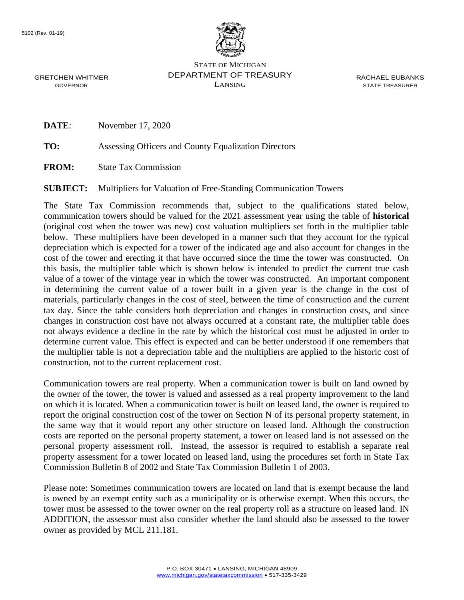

STATE OF MICHIGAN DEPARTMENT OF TREASURY LANSING

RACHAEL EUBANKS STATE TREASURER

GRETCHEN WHITMER GOVERNOR

**DATE:** November 17, 2020

**TO:** Assessing Officers and County Equalization Directors

**FROM:** State Tax Commission

**SUBJECT:** Multipliers for Valuation of Free-Standing Communication Towers

The State Tax Commission recommends that, subject to the qualifications stated below, communication towers should be valued for the 2021 assessment year using the table of **historical**  (original cost when the tower was new) cost valuation multipliers set forth in the multiplier table below. These multipliers have been developed in a manner such that they account for the typical depreciation which is expected for a tower of the indicated age and also account for changes in the cost of the tower and erecting it that have occurred since the time the tower was constructed. On this basis, the multiplier table which is shown below is intended to predict the current true cash value of a tower of the vintage year in which the tower was constructed. An important component in determining the current value of a tower built in a given year is the change in the cost of materials, particularly changes in the cost of steel, between the time of construction and the current tax day. Since the table considers both depreciation and changes in construction costs, and since changes in construction cost have not always occurred at a constant rate, the multiplier table does not always evidence a decline in the rate by which the historical cost must be adjusted in order to determine current value. This effect is expected and can be better understood if one remembers that the multiplier table is not a depreciation table and the multipliers are applied to the historic cost of construction, not to the current replacement cost.

Communication towers are real property. When a communication tower is built on land owned by the owner of the tower, the tower is valued and assessed as a real property improvement to the land on which it is located. When a communication tower is built on leased land, the owner is required to report the original construction cost of the tower on Section N of its personal property statement, in the same way that it would report any other structure on leased land. Although the construction costs are reported on the personal property statement, a tower on leased land is not assessed on the personal property assessment roll. Instead, the assessor is required to establish a separate real property assessment for a tower located on leased land, using the procedures set forth in State Tax Commission Bulletin 8 of 2002 and State Tax Commission Bulletin 1 of 2003.

Please note: Sometimes communication towers are located on land that is exempt because the land is owned by an exempt entity such as a municipality or is otherwise exempt. When this occurs, the tower must be assessed to the tower owner on the real property roll as a structure on leased land. IN ADDITION, the assessor must also consider whether the land should also be assessed to the tower owner as provided by MCL 211.181.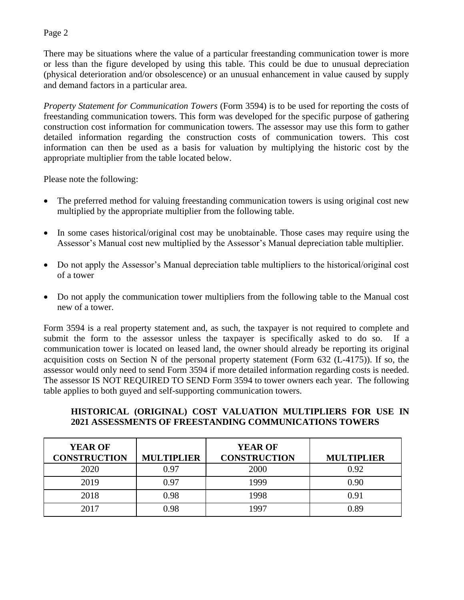## Page 2

There may be situations where the value of a particular freestanding communication tower is more or less than the figure developed by using this table. This could be due to unusual depreciation (physical deterioration and/or obsolescence) or an unusual enhancement in value caused by supply and demand factors in a particular area.

*Property Statement for Communication Towers* (Form 3594) is to be used for reporting the costs of freestanding communication towers. This form was developed for the specific purpose of gathering construction cost information for communication towers. The assessor may use this form to gather detailed information regarding the construction costs of communication towers. This cost information can then be used as a basis for valuation by multiplying the historic cost by the appropriate multiplier from the table located below.

Please note the following:

- The preferred method for valuing freestanding communication towers is using original cost new multiplied by the appropriate multiplier from the following table.
- In some cases historical/original cost may be unobtainable. Those cases may require using the Assessor's Manual cost new multiplied by the Assessor's Manual depreciation table multiplier.
- Do not apply the Assessor's Manual depreciation table multipliers to the historical/original cost of a tower
- Do not apply the communication tower multipliers from the following table to the Manual cost new of a tower.

Form 3594 is a real property statement and, as such, the taxpayer is not required to complete and submit the form to the assessor unless the taxpayer is specifically asked to do so. If a communication tower is located on leased land, the owner should already be reporting its original acquisition costs on Section N of the personal property statement (Form 632 (L-4175)). If so, the assessor would only need to send Form 3594 if more detailed information regarding costs is needed. The assessor IS NOT REQUIRED TO SEND Form 3594 to tower owners each year. The following table applies to both guyed and self-supporting communication towers.

## **HISTORICAL (ORIGINAL) COST VALUATION MULTIPLIERS FOR USE IN 2021 ASSESSMENTS OF FREESTANDING COMMUNICATIONS TOWERS**

| <b>YEAR OF</b><br><b>CONSTRUCTION</b> | <b>MULTIPLIER</b> | <b>YEAR OF</b><br><b>CONSTRUCTION</b> | <b>MULTIPLIER</b> |
|---------------------------------------|-------------------|---------------------------------------|-------------------|
| 2020                                  | 0.97              | 2000                                  | 0.92              |
| 2019                                  | 0.97              | 1999                                  | 0.90              |
| 2018                                  | 0.98              | 1998                                  | 0.91              |
| 2017                                  | 0.98              | 1997                                  | 0.89              |